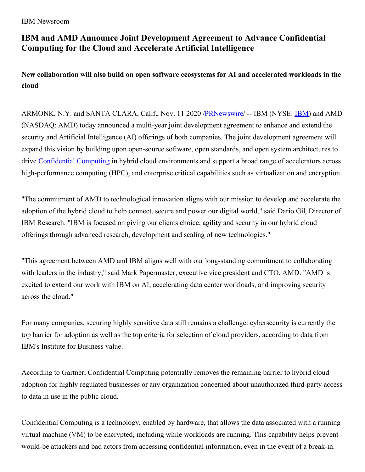IBM Newsroom

## **IBM and AMD Announce Joint Development Agreement to Advance Confidential Computing for the Cloud and Accelerate Artificial Intelligence**

**New collaboration will also build on open software ecosystems for AI and accelerated workloads in the cloud**

ARMONK, N.Y. and SANTA CLARA, Calif., Nov. 11 2020 [/PRNewswire/](http://www.prnewswire.com/) -- [IBM](https://c212.net/c/link/?t=0&l=en&o=2977742-1&h=4117436686&u=https%3A%2F%2Fc212.net%2Fc%2Flink%2F%3Ft%3D0%26l%3Den%26o%3D2886756-1%26h%3D2220220108%26u%3Dhttps%253A%252F%252Fc212.net%252Fc%252Flink%252F%253Ft%253D0%2526l%253Den%2526o%253D2864195-1%2526h%253D964409748%2526u%253Dhttp%25253A%25252F%25252Fwww.ibm.com%25252Finvestor%2526a%253DIBM%26a%3DIBM&a=IBM) (NYSE: **IBM)** and AMD (NASDAQ: AMD) today announced a multi-year joint development agreement to enhance and extend the security and Artificial Intelligence (AI) offerings of both companies. The joint development agreement will expand this vision by building upon open-source software, open standards, and open system architectures to drive [Confidential](https://c212.net/c/link/?t=0&l=en&o=2977742-1&h=2145806608&u=https%3A%2F%2Fwww.ibm.com%2Fcloud%2Flearn%2Fconfidential-computing&a=Confidential+Computing) Computing in hybrid cloud environments and support a broad range of accelerators across high-performance computing (HPC), and enterprise critical capabilities such as virtualization and encryption.

"The commitment of AMD to technological innovation aligns with our mission to develop and accelerate the adoption of the hybrid cloud to help connect, secure and power our digital world," said Dario Gil, Director of IBM Research. "IBM is focused on giving our clients choice, agility and security in our hybrid cloud offerings through advanced research, development and scaling of new technologies."

"This agreement between AMD and IBM aligns well with our long-standing commitment to collaborating with leaders in the industry," said Mark Papermaster, executive vice president and CTO, AMD. "AMD is excited to extend our work with IBM on AI, accelerating data center workloads, and improving security across the cloud."

For many companies, securing highly sensitive data still remains a challenge: cybersecurity is currently the top barrier for adoption as well as the top criteria for selection of cloud providers, according to data from IBM's Institute for Business value.

According to Gartner, Confidential Computing potentially removes the remaining barrier to hybrid cloud adoption for highly regulated businesses or any organization concerned about unauthorized third-party access to data in use in the public cloud.

Confidential Computing is a technology, enabled by hardware, that allows the data associated with a running virtual machine (VM) to be encrypted, including while workloads are running. This capability helps prevent would-be attackers and bad actors from accessing confidential information, even in the event of a break-in.